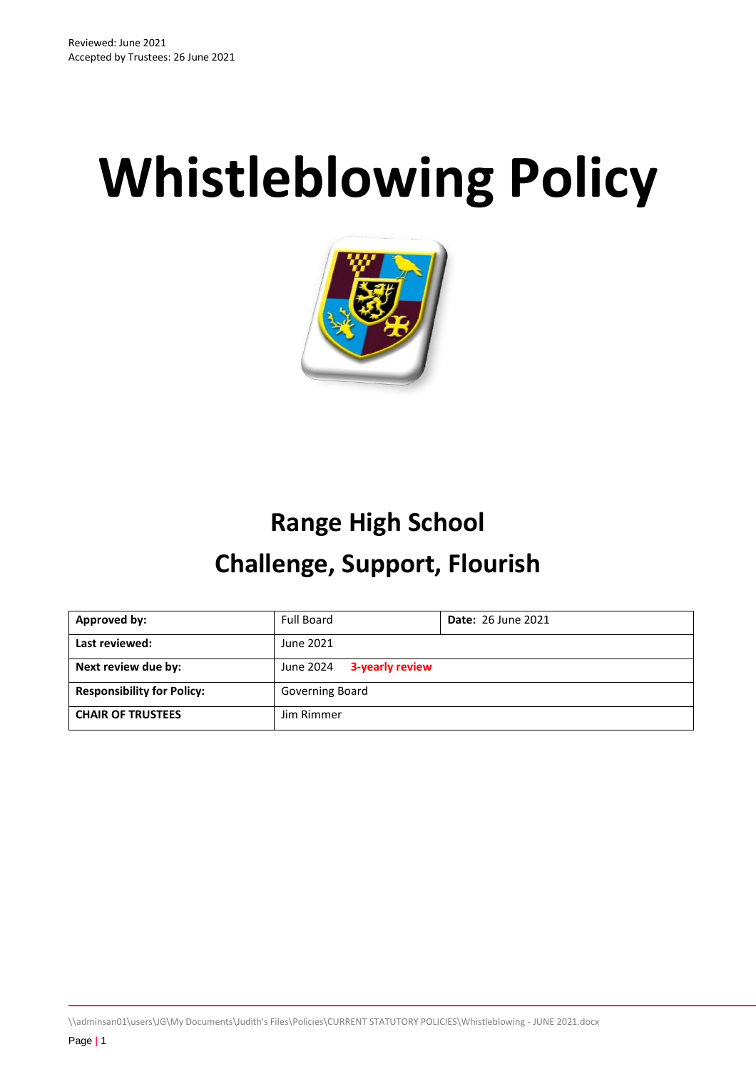# **Whistleblowing Policy**



# **Range High School Challenge, Support, Flourish**

| Approved by:                      | <b>Full Board</b>            | <b>Date: 26 June 2021</b> |
|-----------------------------------|------------------------------|---------------------------|
| Last reviewed:                    | June 2021                    |                           |
| Next review due by:               | 3-yearly review<br>June 2024 |                           |
| <b>Responsibility for Policy:</b> | Governing Board              |                           |
| <b>CHAIR OF TRUSTEES</b>          | Jim Rimmer                   |                           |

\\adminsan01\users\JG\My Documents\Judith's Files\Policies\CURRENT STATUTORY POLICIES\Whistleblowing - JUNE 2021.docx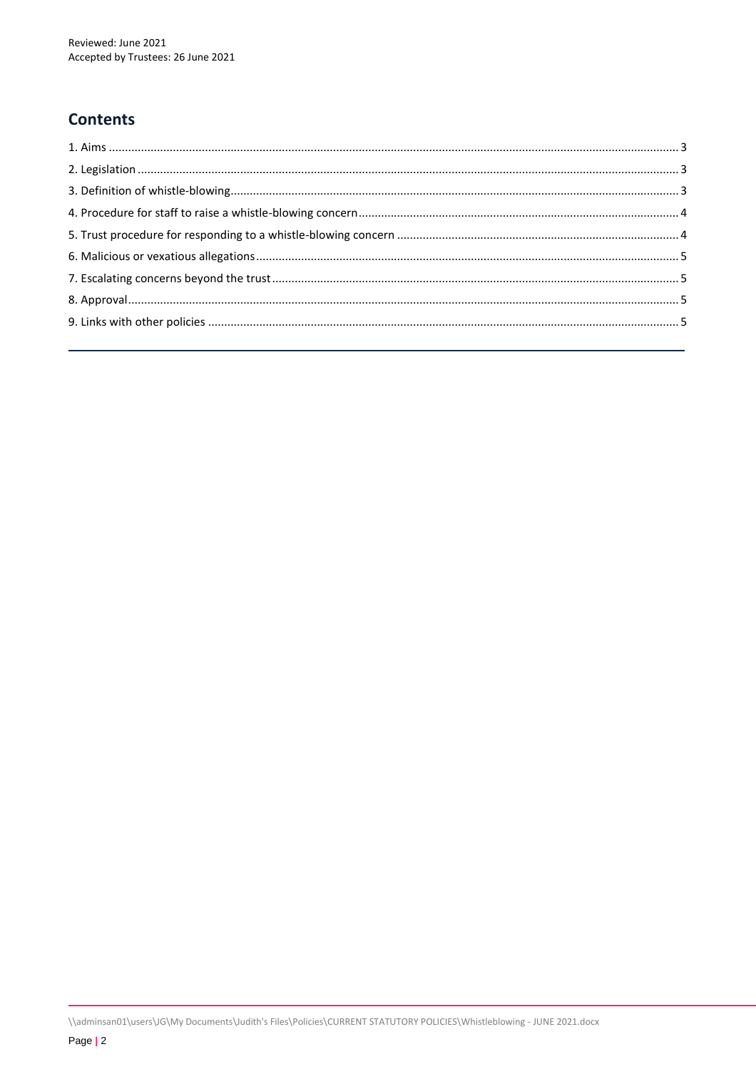# **Contents**

\\adminsan01\users\JG\My Documents\Judith's Files\Policies\CURRENT STATUTORY POLICIES\Whistleblowing - JUNE 2021.docx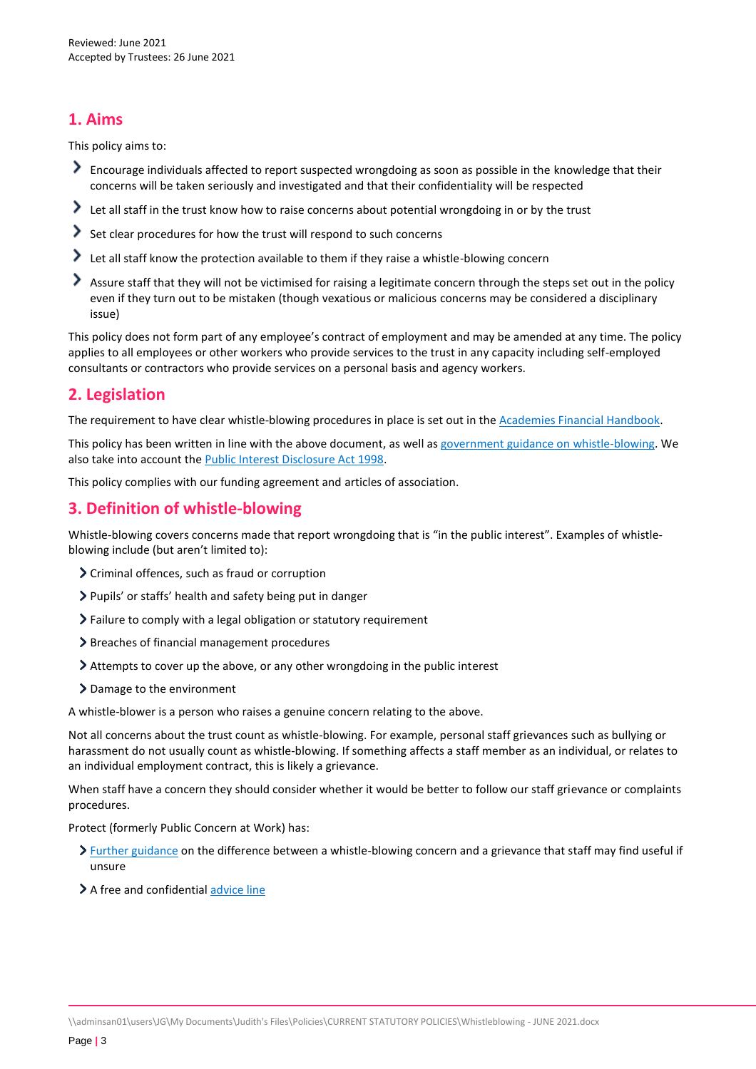# <span id="page-2-0"></span>**1. Aims**

This policy aims to:

- Encourage individuals affected to report suspected wrongdoing as soon as possible in the knowledge that their concerns will be taken seriously and investigated and that their confidentiality will be respected
- Let all staff in the trust know how to raise concerns about potential wrongdoing in or by the trust
- $\geq$  Set clear procedures for how the trust will respond to such concerns
- Let all staff know the protection available to them if they raise a whistle-blowing concern
- Assure staff that they will not be victimised for raising a legitimate concern through the steps set out in the policy even if they turn out to be mistaken (though vexatious or malicious concerns may be considered a disciplinary issue)

This policy does not form part of any employee's contract of employment and may be amended at any time. The policy applies to all employees or other workers who provide services to the trust in any capacity including self-employed consultants or contractors who provide services on a personal basis and agency workers.

# <span id="page-2-1"></span>**2. Legislation**

The requirement to have clear whistle-blowing procedures in place is set out in the Academies Financial Handbook.

This policy has been written in line with the above document, as well as [government guidance on whistle-blowing.](https://www.gov.uk/whistleblowing) We also take into account the [Public Interest Disclosure Act 1998.](https://www.legislation.gov.uk/ukpga/1998/23/contents)

This policy complies with our funding agreement and articles of association.

# <span id="page-2-2"></span>**3. Definition of whistle-blowing**

Whistle-blowing covers concerns made that report wrongdoing that is "in the public interest". Examples of whistleblowing include (but aren't limited to):

- Criminal offences, such as fraud or corruption
- Pupils' or staffs' health and safety being put in danger
- Failure to comply with a legal obligation or statutory requirement
- > Breaches of financial management procedures
- Attempts to cover up the above, or any other wrongdoing in the public interest
- > Damage to the environment

A whistle-blower is a person who raises a genuine concern relating to the above.

Not all concerns about the trust count as whistle-blowing. For example, personal staff grievances such as bullying or harassment do not usually count as whistle-blowing. If something affects a staff member as an individual, or relates to an individual employment contract, this is likely a grievance.

When staff have a concern they should consider whether it would be better to follow our staff grievance or complaints procedures.

Protect (formerly Public Concern at Work) has:

- $\sum$  [Further guidance](https://protect-advice.org.uk/what-is-the-difference-between-raising-a-grievance-and-whistleblowing/) on the difference between a whistle-blowing concern and a grievance that staff may find useful if unsure
- <span id="page-2-3"></span>> A free and confidential [advice line](https://www.pcaw.org.uk/advice-line/)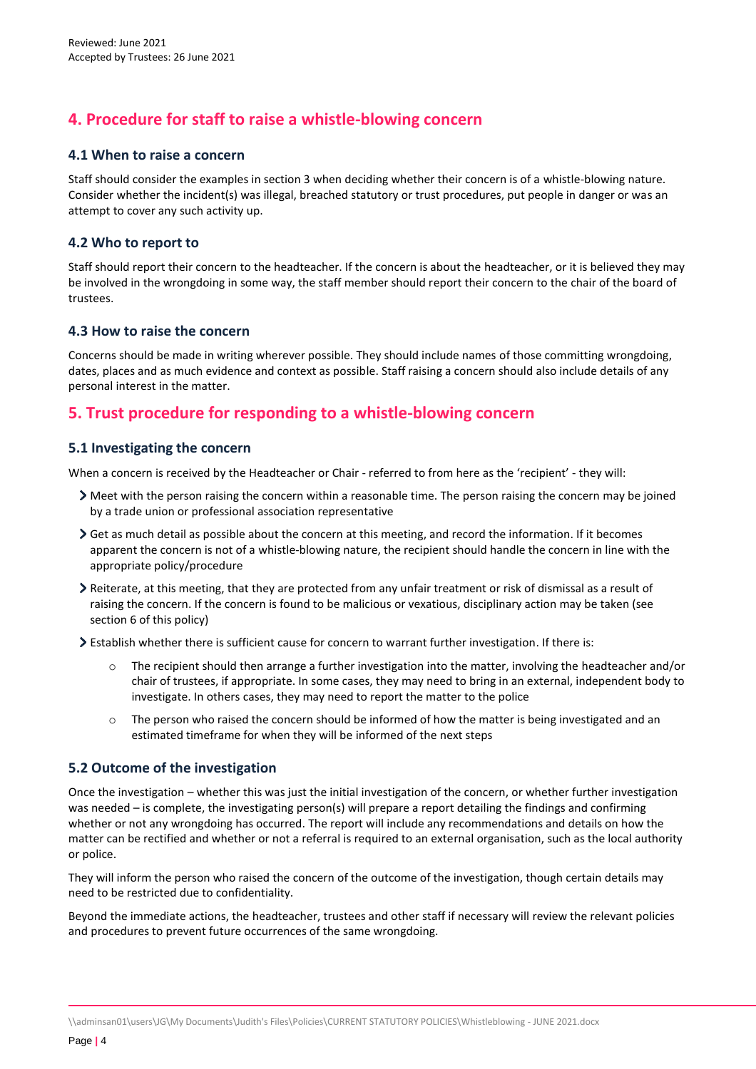# **4. Procedure for staff to raise a whistle-blowing concern**

#### **4.1 When to raise a concern**

Staff should consider the examples in section 3 when deciding whether their concern is of a whistle-blowing nature. Consider whether the incident(s) was illegal, breached statutory or trust procedures, put people in danger or was an attempt to cover any such activity up.

#### **4.2 Who to report to**

Staff should report their concern to the headteacher. If the concern is about the headteacher, or it is believed they may be involved in the wrongdoing in some way, the staff member should report their concern to the chair of the board of trustees.

#### **4.3 How to raise the concern**

Concerns should be made in writing wherever possible. They should include names of those committing wrongdoing, dates, places and as much evidence and context as possible. Staff raising a concern should also include details of any personal interest in the matter.

# <span id="page-3-0"></span>**5. Trust procedure for responding to a whistle-blowing concern**

#### **5.1 Investigating the concern**

When a concern is received by the Headteacher or Chair - referred to from here as the 'recipient' - they will:

- Meet with the person raising the concern within a reasonable time. The person raising the concern may be joined by a trade union or professional association representative
- Get as much detail as possible about the concern at this meeting, and record the information. If it becomes apparent the concern is not of a whistle-blowing nature, the recipient should handle the concern in line with the appropriate policy/procedure
- Reiterate, at this meeting, that they are protected from any unfair treatment or risk of dismissal as a result of raising the concern. If the concern is found to be malicious or vexatious, disciplinary action may be taken (see section 6 of this policy)
- Establish whether there is sufficient cause for concern to warrant further investigation. If there is:
	- The recipient should then arrange a further investigation into the matter, involving the headteacher and/or chair of trustees, if appropriate. In some cases, they may need to bring in an external, independent body to investigate. In others cases, they may need to report the matter to the police
	- $\circ$  The person who raised the concern should be informed of how the matter is being investigated and an estimated timeframe for when they will be informed of the next steps

#### **5.2 Outcome of the investigation**

Once the investigation – whether this was just the initial investigation of the concern, or whether further investigation was needed – is complete, the investigating person(s) will prepare a report detailing the findings and confirming whether or not any wrongdoing has occurred. The report will include any recommendations and details on how the matter can be rectified and whether or not a referral is required to an external organisation, such as the local authority or police.

They will inform the person who raised the concern of the outcome of the investigation, though certain details may need to be restricted due to confidentiality.

Beyond the immediate actions, the headteacher, trustees and other staff if necessary will review the relevant policies and procedures to prevent future occurrences of the same wrongdoing.

\\adminsan01\users\JG\My Documents\Judith's Files\Policies\CURRENT STATUTORY POLICIES\Whistleblowing - JUNE 2021.docx